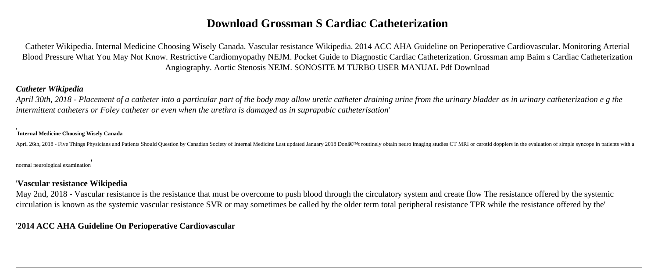# **Download Grossman S Cardiac Catheterization**

Catheter Wikipedia. Internal Medicine Choosing Wisely Canada. Vascular resistance Wikipedia. 2014 ACC AHA Guideline on Perioperative Cardiovascular. Monitoring Arterial Blood Pressure What You May Not Know. Restrictive Cardiomyopathy NEJM. Pocket Guide to Diagnostic Cardiac Catheterization. Grossman amp Baim s Cardiac Catheterization Angiography. Aortic Stenosis NEJM. SONOSITE M TURBO USER MANUAL Pdf Download

### *Catheter Wikipedia*

*April 30th, 2018 - Placement of a catheter into a particular part of the body may allow uretic catheter draining urine from the urinary bladder as in urinary catheterization e g the intermittent catheters or Foley catheter or even when the urethra is damaged as in suprapubic catheterisation*'

#### ' **Internal Medicine Choosing Wisely Canada**

April 26th, 2018 - Five Things Physicians and Patients Should Question by Canadian Society of Internal Medicine Last updated January 2018 Don't routinely obtain neuro imaging studies CT MRI or carotid dopplers in the ev

normal neurological examination'

### '**Vascular resistance Wikipedia**

May 2nd, 2018 - Vascular resistance is the resistance that must be overcome to push blood through the circulatory system and create flow The resistance offered by the systemic circulation is known as the systemic vascular resistance SVR or may sometimes be called by the older term total peripheral resistance TPR while the resistance offered by the'

## '**2014 ACC AHA Guideline On Perioperative Cardiovascular**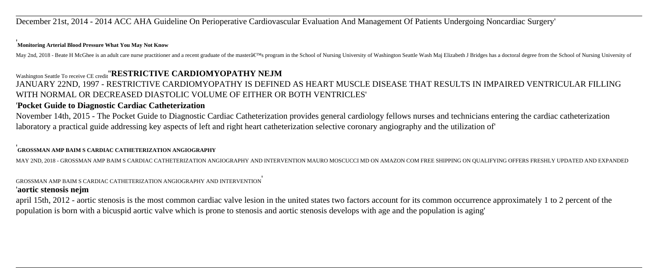December 21st, 2014 - 2014 ACC AHA Guideline On Perioperative Cardiovascular Evaluation And Management Of Patients Undergoing Noncardiac Surgery'

#### '**Monitoring Arterial Blood Pressure What You May Not Know**

May 2nd, 2018 - Beate H McGhee is an adult care nurse practitioner and a recent graduate of the mastera€™s program in the School of Nursing University of Washington Seattle Wash Maj Elizabeth J Bridges has a doctoral degr

## Washington Seattle To receive CE credit''**RESTRICTIVE CARDIOMYOPATHY NEJM**

JANUARY 22ND, 1997 - RESTRICTIVE CARDIOMYOPATHY IS DEFINED AS HEART MUSCLE DISEASE THAT RESULTS IN IMPAIRED VENTRICULAR FILLING WITH NORMAL OR DECREASED DIASTOLIC VOLUME OF EITHER OR BOTH VENTRICLES'

### '**Pocket Guide to Diagnostic Cardiac Catheterization**

November 14th, 2015 - The Pocket Guide to Diagnostic Cardiac Catheterization provides general cardiology fellows nurses and technicians entering the cardiac catheterization laboratory a practical guide addressing key aspects of left and right heart catheterization selective coronary angiography and the utilization of'

#### '**GROSSMAN AMP BAIM S CARDIAC CATHETERIZATION ANGIOGRAPHY**

MAY 2ND, 2018 - GROSSMAN AMP BAIM S CARDIAC CATHETERIZATION ANGIOGRAPHY AND INTERVENTION MAURO MOSCUCCI MD ON AMAZON COM FREE SHIPPING ON QUALIFYING OFFERS FRESHLY UPDATED AND EXPANDED

#### GROSSMAN AMP BAIM S CARDIAC CATHETERIZATION ANGIOGRAPHY AND INTERVENTION' '**aortic stenosis nejm**

april 15th, 2012 - aortic stenosis is the most common cardiac valve lesion in the united states two factors account for its common occurrence approximately 1 to 2 percent of the population is born with a bicuspid aortic valve which is prone to stenosis and aortic stenosis develops with age and the population is aging'